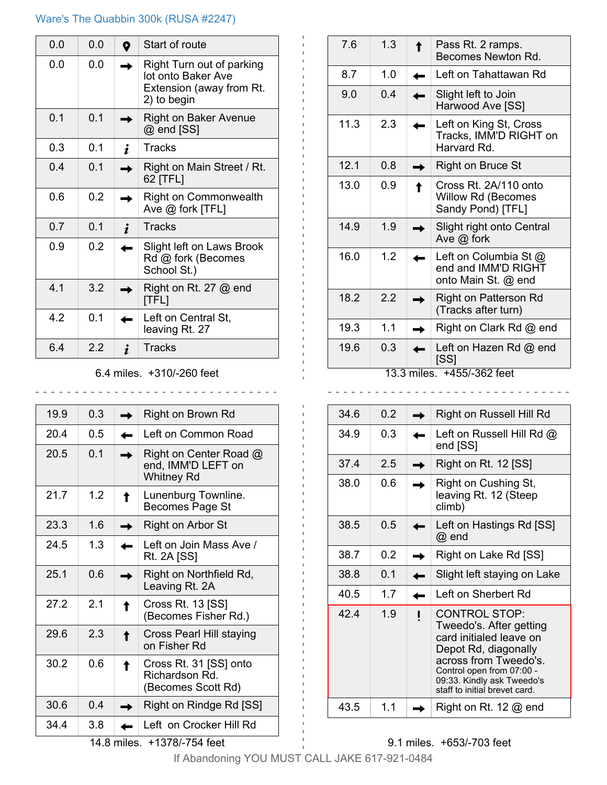#### Ware's The Quabbin 300k (RUSA #2247)

| 0.0            | 0.0 | 0 | Start of route                                                                             |
|----------------|-----|---|--------------------------------------------------------------------------------------------|
| 0.0            | 0.0 |   | Right Turn out of parking<br>lot onto Baker Ave<br>Extension (away from Rt.<br>2) to begin |
| 0.1            | 0.1 |   | <b>Right on Baker Avenue</b><br>@ end [SS]                                                 |
| 0.3            | 0.1 | i | <b>Tracks</b>                                                                              |
| 0.4            | 0.1 |   | Right on Main Street / Rt.<br>62 [TFL]                                                     |
| 0.6            | 0.2 |   | <b>Right on Commonwealth</b><br>Ave $@$ fork [TFL]                                         |
| 0.7            | 0.1 | i | <b>Tracks</b>                                                                              |
| 0.9            | 0.2 |   | Slight left on Laws Brook<br>Rd @ fork (Becomes<br>School St.)                             |
| 4 <sub>1</sub> | 3.2 |   | Right on Rt. 27 $@$ end<br>[TFL]                                                           |
| 42             | 0.1 |   | Left on Central St,<br>leaving Rt. 27                                                      |
| 6.4            | 22  | i | Tracks                                                                                     |

#### 6.4 miles. +310/-260 feet

<u>. . . . . . . . . . . .</u>

| 19.9                        | 0.3 |   | Right on Brown Rd                                                 |  |
|-----------------------------|-----|---|-------------------------------------------------------------------|--|
| 20.4                        | 0.5 |   | Left on Common Road                                               |  |
| 20.5                        | 0.1 |   | Right on Center Road @<br>end, IMM'D LEFT on<br><b>Whitney Rd</b> |  |
| 21.7                        | 1.2 | ↑ | Lunenburg Townline.<br>Becomes Page St                            |  |
| 23.3                        | 1.6 |   | Right on Arbor St                                                 |  |
| 24.5                        | 1.3 |   | Left on Join Mass Ave /<br>Rt. 2A [SS]                            |  |
| 25.1                        | 0.6 |   | Right on Northfield Rd,<br>Leaving Rt. 2A                         |  |
| 27.2                        | 2.1 | ↑ | Cross Rt. 13 [SS]<br>(Becomes Fisher Rd.)                         |  |
| 29.6                        | 2.3 | ↑ | Cross Pearl Hill staying<br>on Fisher Rd                          |  |
| 30.2                        | 0.6 | ↑ | Cross Rt. 31 [SS] onto<br>Richardson Rd.<br>(Becomes Scott Rd)    |  |
| 30.6                        | 0.4 |   | Right on Rindge Rd [SS]                                           |  |
| 34.4                        | 3.8 |   | Left on Crocker Hill Rd                                           |  |
| 14.8 miles. +1378/-754 feet |     |   |                                                                   |  |

| 7.6                        | 1.3 | $\hat{\mathbf{r}}$ | Pass Rt. 2 ramps.<br>Becomes Newton Rd.                             |  |
|----------------------------|-----|--------------------|---------------------------------------------------------------------|--|
| 8.7                        | 1.0 |                    | Left on Tahattawan Rd                                               |  |
| 9.0                        | 0.4 |                    | Slight left to Join<br>Harwood Ave [SS]                             |  |
| 11.3                       | 2.3 |                    | Left on King St, Cross<br>Tracks, IMM'D RIGHT on<br>Harvard Rd.     |  |
| 12.1                       | 0.8 |                    | Right on Bruce St                                                   |  |
| 13.0                       | 0.9 | ↑                  | Cross Rt. 2A/110 onto<br>Willow Rd (Becomes<br>Sandy Pond) [TFL]    |  |
| 14.9                       | 1.9 |                    | Slight right onto Central<br>Ave $@$ fork                           |  |
| 16.0                       | 1.2 |                    | Left on Columbia St @<br>end and IMM'D RIGHT<br>onto Main St. @ end |  |
| 18.2                       | 2.2 |                    | Right on Patterson Rd<br>(Tracks after turn)                        |  |
| 19.3                       | 1.1 |                    | Right on Clark Rd @ end                                             |  |
| 19.6                       | 0.3 |                    | Left on Hazen Rd @ end<br>[SS]                                      |  |
| 13.3 miles. +455/-362 feet |     |                    |                                                                     |  |

34.6  $\vert$  0.2  $\vert \rightarrow \vert$  Right on Russell Hill Rd 34.9  $\Big| 0.3 \Big|$  Left on Russell Hill Rd  $\omega$ end [SS]  $37.4$  2.5  $\rightarrow$  Right on Rt. 12 [SS] 38.0  $\Big|$  0.6  $\Big| \rightarrow \Big|$  Right on Cushing St, leaving Rt. 12 (Steep climb)  $38.5 \mid 0.5 \mid \leftarrow$  Left on Hastings Rd [SS] @ end 38.7  $\Big|$  0.2  $\Big| \rightarrow \Big|$  Right on Lake Rd [SS] 38.8  $\begin{array}{|c|c|c|c|c|c|c|c|c|} \hline \text{38.8} & \text{0.1} & \text{•} & \text{Slight left staying on Lake} \hline \end{array}$  $40.5$  1.7  $\leftarrow$  Left on Sherbert Rd 42.4 | 1.9 | I CONTROL STOP: Tweedo's. After getting card initialed leave on Depot Rd, diagonally across from Tweedo's. Control open from 07:00 - 09:33. Kindly ask Tweedo's staff to initial brevet card. 43.5  $\vert$  1.1  $\vert \rightarrow \vert$  Right on Rt. 12 @ end

### 9.1 miles. +653/-703 feet

If Abandoning YOU MUST CALL JAKE 617-921-0484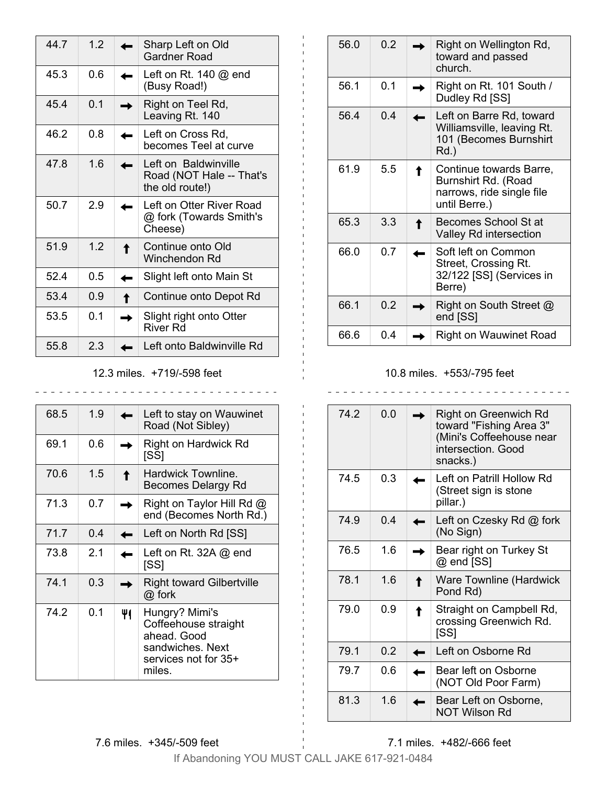| 44.7 | 12  |   | Sharp Left on Old                                                   |
|------|-----|---|---------------------------------------------------------------------|
|      |     |   | <b>Gardner Road</b>                                                 |
| 45.3 | 0.6 |   | Left on Rt. $140 \omega$ end<br>(Busy Road!)                        |
| 45.4 | 0.1 |   | Right on Teel Rd,<br>Leaving Rt. 140                                |
| 46.2 | 0.8 |   | Left on Cross Rd,<br>becomes Teel at curve                          |
| 47.8 | 1.6 |   | Left on Baldwinville<br>Road (NOT Hale -- That's<br>the old route!) |
| 50.7 | 2.9 |   | Left on Otter River Road<br>@ fork (Towards Smith's<br>Cheese)      |
| 51.9 | 1.2 | ↑ | Continue onto Old<br>Winchendon Rd                                  |
| 524  | 0.5 |   | Slight left onto Main St                                            |
| 53.4 | 0.9 | Ť | Continue onto Depot Rd                                              |
| 53.5 | 0.1 |   | Slight right onto Otter<br>River Rd                                 |
| 55.8 | 2.3 |   | Left onto Baldwinville Rd                                           |

12.3 miles. +719/-598 feet

| 68.5 | 1.9 |    | Left to stay on Wauwinet<br>Road (Not Sibley)                                                               |
|------|-----|----|-------------------------------------------------------------------------------------------------------------|
| 69.1 | 0.6 |    | <b>Right on Hardwick Rd</b><br>[SS]                                                                         |
| 70.6 | 1.5 | ↑  | Hardwick Townline.<br>Becomes Delargy Rd                                                                    |
| 71.3 | 0.7 |    | Right on Taylor Hill Rd @<br>end (Becomes North Rd.)                                                        |
| 71.7 | 0.4 |    | Left on North Rd [SS]                                                                                       |
| 73.8 | 2.1 |    | Left on Rt. 32A $@$ end<br>[SS]                                                                             |
| 74.1 | 0.3 |    | <b>Right toward Gilbertville</b><br>@ fork                                                                  |
| 74.2 | 0.1 | 41 | Hungry? Mimi's<br>Coffeehouse straight<br>ahead. Good<br>sandwiches. Next<br>services not for 35+<br>miles. |

| 56.0 | 0.2 |   | Right on Wellington Rd,<br>toward and passed<br>church.                                      |
|------|-----|---|----------------------------------------------------------------------------------------------|
| 56.1 | 0.1 |   | Right on Rt. 101 South /<br>Dudley Rd [SS]                                                   |
| 56.4 | 0.4 |   | Left on Barre Rd, toward<br>Williamsville, leaving Rt.<br>101 (Becomes Burnshirt<br>Rd.)     |
| 61.9 | 5.5 | ↑ | Continue towards Barre,<br>Burnshirt Rd. (Road<br>narrows, ride single file<br>until Berre.) |
| 65.3 | 3.3 | ↑ | Becomes School St at<br>Valley Rd intersection                                               |
| 66.0 | 0.7 |   | Soft left on Common<br>Street, Crossing Rt.<br>32/122 [SS] (Services in<br>Berre)            |
| 66.1 | 0.2 |   | Right on South Street @<br>end [SS]                                                          |
| 66.6 | 0.4 |   | Right on Wauwinet Road                                                                       |

# 10.8 miles. +553/-795 feet

| 74.2 | 0.0 |   | Right on Greenwich Rd<br>toward "Fishing Area 3"<br>(Mini's Coffeehouse near<br>intersection. Good<br>snacks.) |
|------|-----|---|----------------------------------------------------------------------------------------------------------------|
| 74.5 | 0.3 |   | Left on Patrill Hollow Rd<br>(Street sign is stone<br>pillar.)                                                 |
| 74.9 | 0.4 |   | Left on Czesky Rd @ fork<br>(No Sign)                                                                          |
| 76.5 | 1.6 |   | Bear right on Turkey St<br>@ end [SS]                                                                          |
| 78.1 | 1.6 | ↑ | Ware Townline (Hardwick<br>Pond Rd)                                                                            |
| 79.0 | 0.9 | ↑ | Straight on Campbell Rd,<br>crossing Greenwich Rd.<br>[SS]                                                     |
| 79.1 | 0.2 |   | Left on Osborne Rd                                                                                             |
| 79.7 | 0.6 |   | Bear left on Osborne<br>(NOT Old Poor Farm)                                                                    |
| 81.3 | 16  |   | Bear Left on Osborne,<br>NOT Wilson Rd                                                                         |

7.6 miles. +345/-509 feet

7.1 miles. +482/-666 feet

If Abandoning YOU MUST CALL JAKE 617-921-0484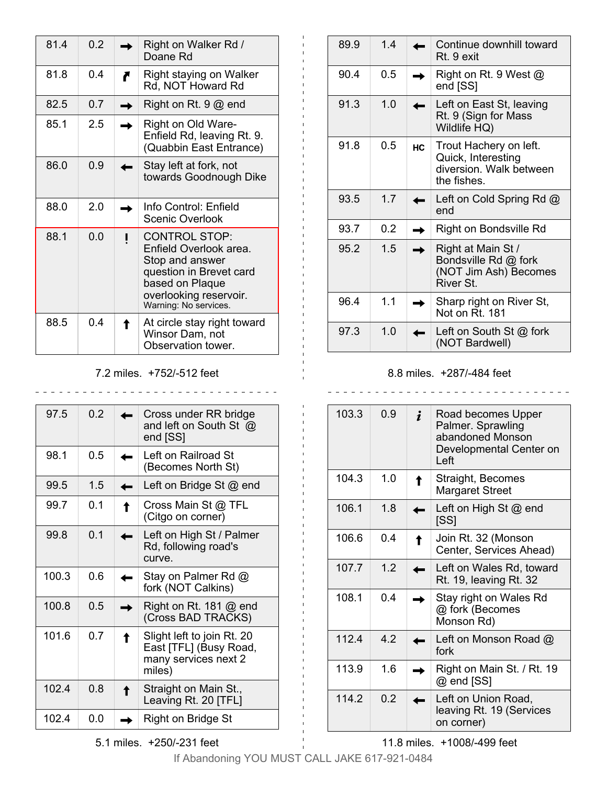| 81.4 | 0.2 |   | Right on Walker Rd /<br>Doane Rd                                                                                                                                   |
|------|-----|---|--------------------------------------------------------------------------------------------------------------------------------------------------------------------|
| 81.8 | 0.4 | ₹ | Right staying on Walker<br>Rd, NOT Howard Rd                                                                                                                       |
| 82.5 | 0.7 |   | Right on Rt. $9@$ end                                                                                                                                              |
| 85.1 | 25  |   | Right on Old Ware-<br>Enfield Rd, leaving Rt. 9.<br>(Quabbin East Entrance)                                                                                        |
| 86.0 | 0.9 |   | Stay left at fork, not<br>towards Goodnough Dike                                                                                                                   |
| 88.0 | 20  |   | Info Control: Enfield<br><b>Scenic Overlook</b>                                                                                                                    |
| 88.1 | 0.0 |   | <b>CONTROL STOP:</b><br>Enfield Overlook area.<br>Stop and answer<br>question in Brevet card<br>based on Plaque<br>overlooking reservoir.<br>Warning: No services. |
| 88.5 | 04  |   | At circle stay right toward<br>Winsor Dam, not<br>Observation tower.                                                                                               |

7.2 miles. +752/-512 feet

| 975   | 02  |   | Cross under RR bridge<br>and left on South St @<br>end [SS]                            |
|-------|-----|---|----------------------------------------------------------------------------------------|
| 98.1  | 0.5 |   | Left on Railroad St<br>(Becomes North St)                                              |
| 99.5  | 1.5 |   | Left on Bridge St $@$ end                                                              |
| 99.7  | 0.1 |   | Cross Main St @ TFL<br>(Citgo on corner)                                               |
| 99.8  | 0.1 |   | Left on High St / Palmer<br>Rd, following road's<br>curve.                             |
| 100.3 | 0.6 |   | Stay on Palmer Rd @<br>fork (NOT Calkins)                                              |
| 100.8 | 0.5 |   | Right on Rt. 181 $@$ end<br>(Cross BAD TRACKS)                                         |
| 101.6 | 0.7 | ↟ | Slight left to join Rt. 20<br>East [TFL] (Busy Road,<br>many services next 2<br>miles) |
| 1024  | 0 8 | ↟ | Straight on Main St.,<br>Leaving Rt. 20 [TFL]                                          |
| 102.4 | 0.0 |   | Right on Bridge St                                                                     |

 $89.9$  1.4  $\leftarrow$  Continue downhill toward Rt. 9 exit 90.4  $\Big| 0.5 \Big| \rightarrow$  Right on Rt. 9 West  $\textcircled{a}$ end [SS] 91.3  $\vert$  1.0  $\vert$   $\leftarrow$  Left on East St, leaving Rt. 9 (Sign for Mass Wildlife HQ) 91.8  $\vert$  0.5  $\vert$  Hc Trout Hachery on left. Quick, Interesting diversion. Walk between the fishes. 93.5 1.7  $\leftarrow$  Left on Cold Spring Rd @ end 93.7  $\Big|$  0.2  $\Big| \rightarrow \Big|$  Right on Bondsville Rd 95.2 1.5  $\rightarrow$  Right at Main St / Bondsville Rd @ fork (NOT Jim Ash) Becomes River St. 96.4 1.1  $\rightarrow$  Sharp right on River St, Not on Rt. 181 97.3  $\vert$  1.0  $\vert$   $\leftarrow$  Left on South St @ fork (NOT Bardwell)

### 8.8 miles. +287/-484 feet

| 103.3 | ი 9 | $\dot{i}$ | Road becomes Upper<br>Palmer. Sprawling<br>abandoned Monson<br>Developmental Center on<br>Left |
|-------|-----|-----------|------------------------------------------------------------------------------------------------|
| 104.3 | 1.0 |           | Straight, Becomes<br><b>Margaret Street</b>                                                    |
| 106.1 | 1.8 |           | Left on High St @ end<br>[SS]                                                                  |
| 106.6 | 0.4 |           | Join Rt. 32 (Monson<br>Center, Services Ahead)                                                 |
| 107.7 | 1.2 |           | Left on Wales Rd, toward<br>Rt. 19, leaving Rt. 32                                             |
| 108.1 | 04  |           | Stay right on Wales Rd<br>@ fork (Becomes<br>Monson Rd)                                        |
| 112.4 | 42  |           | Left on Monson Road $@$<br>fork                                                                |
| 113.9 | 16  |           | Right on Main St. / Rt. 19<br>@ end [SS]                                                       |
| 114.2 | 0.2 |           | Left on Union Road,<br>leaving Rt. 19 (Services<br>on corner)                                  |

11.8 miles. +1008/-499 feet

If Abandoning YOU MUST CALL JAKE 617-921-0484

5.1 miles. +250/-231 feet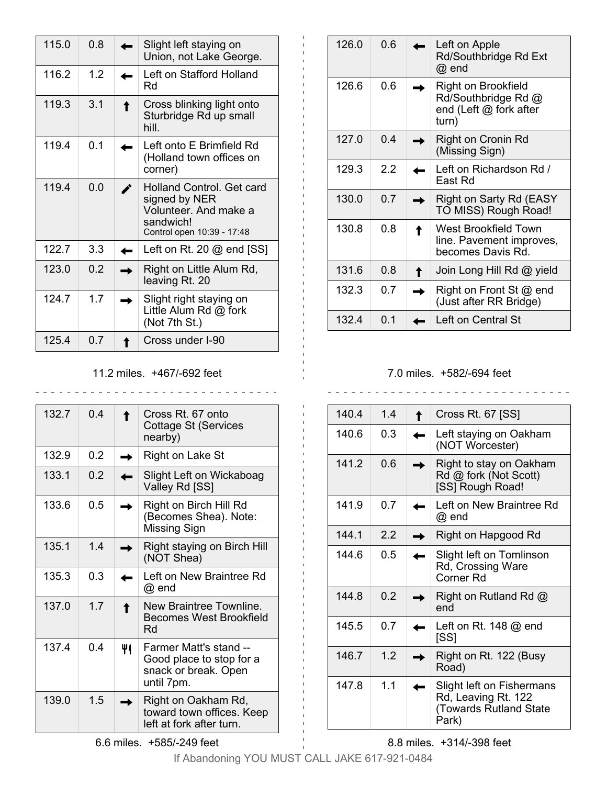| 115.0 | 0.8 |   | Slight left staying on<br>Union, not Lake George.                                                                     |
|-------|-----|---|-----------------------------------------------------------------------------------------------------------------------|
| 116.2 | 12  |   | Left on Stafford Holland<br>Rd                                                                                        |
| 119.3 | 3.1 | ↑ | Cross blinking light onto<br>Sturbridge Rd up small<br>hill                                                           |
| 119.4 | 0.1 |   | Left onto E Brimfield Rd<br>(Holland town offices on<br>corner)                                                       |
| 119.4 | 0.0 |   | <b>Holland Control. Get card</b><br>signed by NER<br>Volunteer. And make a<br>sandwich!<br>Control open 10:39 - 17:48 |
| 122.7 | 3.3 |   | Left on Rt. 20 $@$ end $[SS]$                                                                                         |
| 123.0 | 0.2 |   | Right on Little Alum Rd,<br>leaving Rt. 20                                                                            |
| 124.7 | 1.7 |   | Slight right staying on<br>Little Alum Rd $@$ fork<br>(Not 7th St.)                                                   |
| 125.4 | 0.7 |   | Cross under I-90                                                                                                      |

11.2 miles. +467/-692 feet

| 132.7 | 04             | ↟  | Cross Rt. 67 onto<br>Cottage St (Services<br>nearby)                                     |
|-------|----------------|----|------------------------------------------------------------------------------------------|
| 132.9 | 0.2            |    | <b>Right on Lake St</b>                                                                  |
| 133.1 | 0 <sub>2</sub> |    | Slight Left on Wickaboag<br>Valley Rd [SS]                                               |
| 133.6 | 0.5            |    | Right on Birch Hill Rd<br>(Becomes Shea). Note:<br><b>Missing Sign</b>                   |
| 135.1 | 1.4            |    | Right staying on Birch Hill<br>(NOT Shea)                                                |
| 135.3 | 0.3            |    | Left on New Braintree Rd<br>@ end                                                        |
| 137.0 | 1.7            | ↟  | New Braintree Townline.<br><b>Becomes West Brookfield</b><br>Rd                          |
| 137.4 | 0.4            | 41 | Farmer Matt's stand --<br>Good place to stop for a<br>snack or break. Open<br>until 7pm. |
| 139.0 | 1.5            |    | Right on Oakham Rd,<br>toward town offices. Keep<br>left at fork after turn.             |

126.0  $\Big| 0.6 \Big|$  Left on Apple Rd/Southbridge Rd Ext @ end 126.6  $\bigcirc$  0.6  $\bigrightarrow$  Right on Brookfield Rd/Southbridge Rd @ end (Left @ fork after turn) 127.0  $\begin{array}{|c|c|}\n\hline\n0.4 & \rightarrow \end{array}$  Right on Cronin Rd (Missing Sign) 129.3  $\vert$  2.2  $\vert$   $\leftarrow$  Left on Richardson Rd / East Rd 130.0  $\vert$  0.7  $\vert \rightarrow \vert$  Right on Sarty Rd (EASY TO MISS) Rough Road! 130.8 0.8 **1** West Brookfield Town line. Pavement improves, becomes Davis Rd. 131.6  $\vert$  0.8  $\vert$   $\uparrow$  Join Long Hill Rd @ yield 132.3  $\vert$  0.7  $\vert \rightarrow \vert$  Right on Front St @ end (Just after RR Bridge) 132.4  $\vert$  0.1  $\vert$  Left on Central St

## 7.0 miles. +582/-694 feet

| 140.4 | 14  | Cross Rt. 67 [SS]                                                                          |
|-------|-----|--------------------------------------------------------------------------------------------|
| 140.6 | 0.3 | Left staying on Oakham<br>(NOT Worcester)                                                  |
| 141.2 | 0.6 | Right to stay on Oakham<br>Rd @ fork (Not Scott)<br>[SS] Rough Road!                       |
| 141.9 | 0.7 | Left on New Braintree Rd<br>@ end                                                          |
| 144 1 | 2.2 | Right on Hapgood Rd                                                                        |
| 144 6 | 0.5 | Slight left on Tomlinson<br>Rd, Crossing Ware<br>Corner Rd                                 |
| 1448  | 0.2 | Right on Rutland Rd @<br>end                                                               |
| 145.5 | 0.7 | Left on Rt. 148 $@$ end<br>[SS]                                                            |
| 146.7 | 1.2 | Right on Rt. 122 (Busy<br>Road)                                                            |
| 147.8 | 1.1 | Slight left on Fishermans<br>Rd, Leaving Rt. 122<br><b>(Towards Rutland State</b><br>Park) |

8.8 miles. +314/-398 feet

If Abandoning YOU MUST CALL JAKE 617-921-0484

 $\sim$   $\sim$ 

6.6 miles. +585/-249 feet